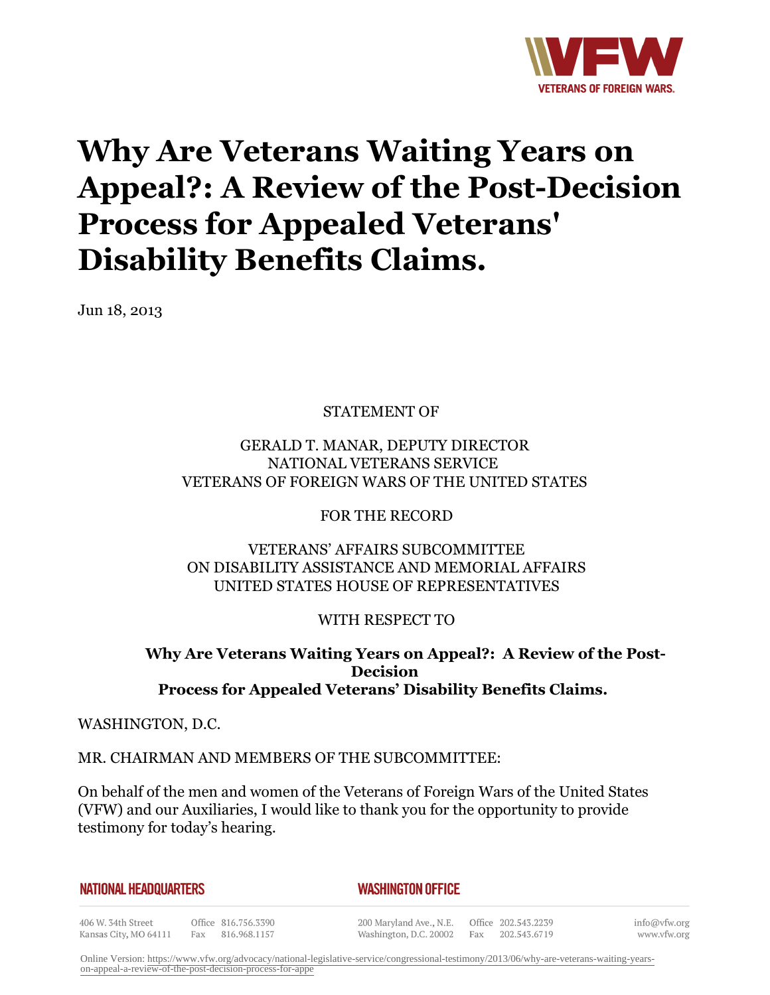

# **Why Are Veterans Waiting Years on Appeal?: A Review of the Post-Decision Process for Appealed Veterans' Disability Benefits Claims.**

Jun 18, 2013

STATEMENT OF

## GERALD T. MANAR, DEPUTY DIRECTOR NATIONAL VETERANS SERVICE VETERANS OF FOREIGN WARS OF THE UNITED STATES

FOR THE RECORD

## VETERANS' AFFAIRS SUBCOMMITTEE ON DISABILITY ASSISTANCE AND MEMORIAL AFFAIRS UNITED STATES HOUSE OF REPRESENTATIVES

WITH RESPECT TO

# **Why Are Veterans Waiting Years on Appeal?: A Review of the Post-Decision Process for Appealed Veterans' Disability Benefits Claims.**

WASHINGTON, D.C.

#### MR. CHAIRMAN AND MEMBERS OF THE SUBCOMMITTEE:

On behalf of the men and women of the Veterans of Foreign Wars of the United States (VFW) and our Auxiliaries, I would like to thank you for the opportunity to provide testimony for today's hearing.

| NATIONAL HEADQUARTERS |  |
|-----------------------|--|
|-----------------------|--|

#### *WASHINGTON OFFICE*

406 W. 34th Street Kansas City, MO 64111

Office 816.756.3390 Fax 816.968.1157

200 Maryland Ave., N.E. Washington, D.C. 20002

Office 202.543.2239 Fax 202.543.6719

info@vfw.org www.vfw.org

Online Version: [https://www.vfw.org/advocacy/national-legislative-service/congressional-testimony/2013/06/why-are-veterans-waiting-years](https://www.vfw.org/advocacy/national-legislative-service/congressional-testimony/2013/06/why-are-veterans-waiting-years-on-appeal-a-review-of-the-post-decision-process-for-appe)[on-appeal-a-review-of-the-post-decision-process-for-appe](https://www.vfw.org/advocacy/national-legislative-service/congressional-testimony/2013/06/why-are-veterans-waiting-years-on-appeal-a-review-of-the-post-decision-process-for-appe)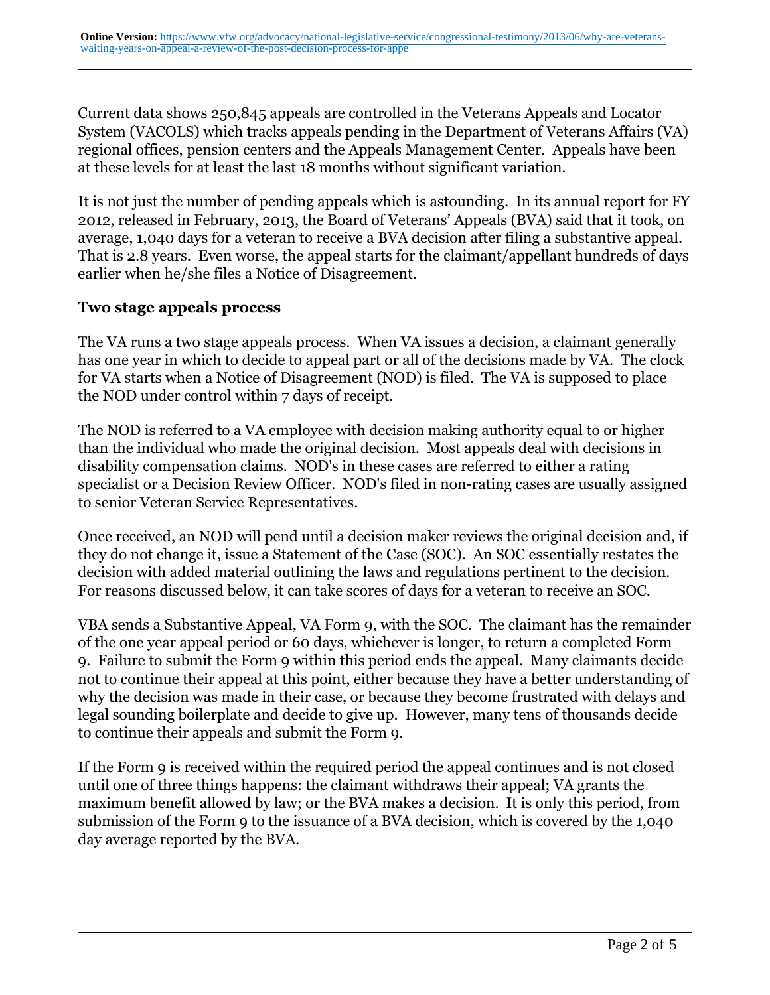Current data shows 250,845 appeals are controlled in the Veterans Appeals and Locator System (VACOLS) which tracks appeals pending in the Department of Veterans Affairs (VA) regional offices, pension centers and the Appeals Management Center. Appeals have been at these levels for at least the last 18 months without significant variation.

It is not just the number of pending appeals which is astounding. In its annual report for FY 2012, released in February, 2013, the Board of Veterans' Appeals (BVA) said that it took, on average, 1,040 days for a veteran to receive a BVA decision after filing a substantive appeal. That is 2.8 years. Even worse, the appeal starts for the claimant/appellant hundreds of days earlier when he/she files a Notice of Disagreement.

#### **Two stage appeals process**

The VA runs a two stage appeals process. When VA issues a decision, a claimant generally has one year in which to decide to appeal part or all of the decisions made by VA. The clock for VA starts when a Notice of Disagreement (NOD) is filed. The VA is supposed to place the NOD under control within 7 days of receipt.

The NOD is referred to a VA employee with decision making authority equal to or higher than the individual who made the original decision. Most appeals deal with decisions in disability compensation claims. NOD's in these cases are referred to either a rating specialist or a Decision Review Officer. NOD's filed in non-rating cases are usually assigned to senior Veteran Service Representatives.

Once received, an NOD will pend until a decision maker reviews the original decision and, if they do not change it, issue a Statement of the Case (SOC). An SOC essentially restates the decision with added material outlining the laws and regulations pertinent to the decision. For reasons discussed below, it can take scores of days for a veteran to receive an SOC.

VBA sends a Substantive Appeal, VA Form 9, with the SOC. The claimant has the remainder of the one year appeal period or 60 days, whichever is longer, to return a completed Form 9. Failure to submit the Form 9 within this period ends the appeal. Many claimants decide not to continue their appeal at this point, either because they have a better understanding of why the decision was made in their case, or because they become frustrated with delays and legal sounding boilerplate and decide to give up. However, many tens of thousands decide to continue their appeals and submit the Form 9.

If the Form 9 is received within the required period the appeal continues and is not closed until one of three things happens: the claimant withdraws their appeal; VA grants the maximum benefit allowed by law; or the BVA makes a decision. It is only this period, from submission of the Form 9 to the issuance of a BVA decision, which is covered by the 1,040 day average reported by the BVA.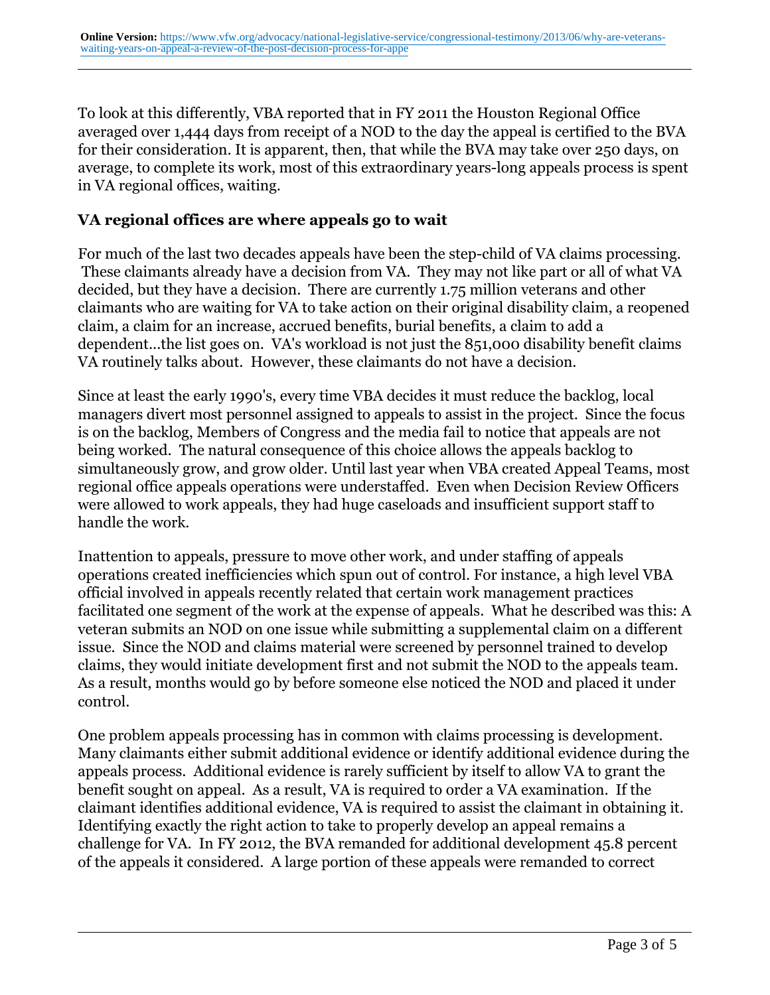To look at this differently, VBA reported that in FY 2011 the Houston Regional Office averaged over 1,444 days from receipt of a NOD to the day the appeal is certified to the BVA for their consideration. It is apparent, then, that while the BVA may take over 250 days, on average, to complete its work, most of this extraordinary years-long appeals process is spent in VA regional offices, waiting.

## **VA regional offices are where appeals go to wait**

For much of the last two decades appeals have been the step-child of VA claims processing. These claimants already have a decision from VA. They may not like part or all of what VA decided, but they have a decision. There are currently 1.75 million veterans and other claimants who are waiting for VA to take action on their original disability claim, a reopened claim, a claim for an increase, accrued benefits, burial benefits, a claim to add a dependent...the list goes on. VA's workload is not just the 851,000 disability benefit claims VA routinely talks about. However, these claimants do not have a decision.

Since at least the early 1990's, every time VBA decides it must reduce the backlog, local managers divert most personnel assigned to appeals to assist in the project. Since the focus is on the backlog, Members of Congress and the media fail to notice that appeals are not being worked. The natural consequence of this choice allows the appeals backlog to simultaneously grow, and grow older. Until last year when VBA created Appeal Teams, most regional office appeals operations were understaffed. Even when Decision Review Officers were allowed to work appeals, they had huge caseloads and insufficient support staff to handle the work.

Inattention to appeals, pressure to move other work, and under staffing of appeals operations created inefficiencies which spun out of control. For instance, a high level VBA official involved in appeals recently related that certain work management practices facilitated one segment of the work at the expense of appeals. What he described was this: A veteran submits an NOD on one issue while submitting a supplemental claim on a different issue. Since the NOD and claims material were screened by personnel trained to develop claims, they would initiate development first and not submit the NOD to the appeals team. As a result, months would go by before someone else noticed the NOD and placed it under control.

One problem appeals processing has in common with claims processing is development. Many claimants either submit additional evidence or identify additional evidence during the appeals process. Additional evidence is rarely sufficient by itself to allow VA to grant the benefit sought on appeal. As a result, VA is required to order a VA examination. If the claimant identifies additional evidence, VA is required to assist the claimant in obtaining it. Identifying exactly the right action to take to properly develop an appeal remains a challenge for VA. In FY 2012, the BVA remanded for additional development 45.8 percent of the appeals it considered. A large portion of these appeals were remanded to correct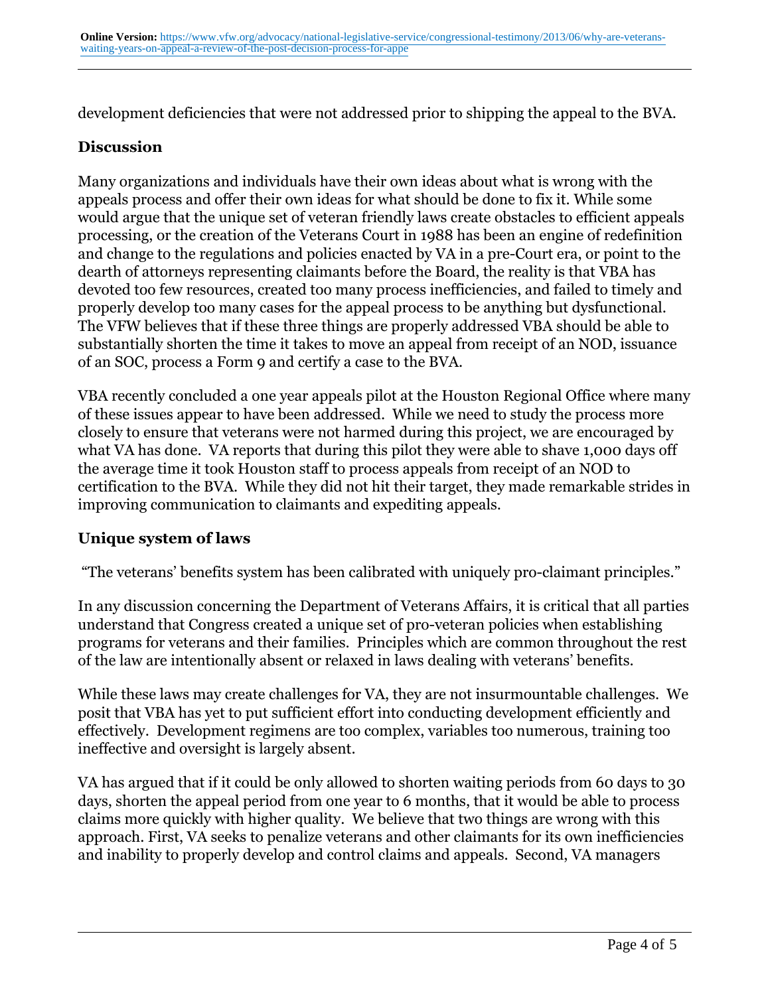development deficiencies that were not addressed prior to shipping the appeal to the BVA.

# **Discussion**

Many organizations and individuals have their own ideas about what is wrong with the appeals process and offer their own ideas for what should be done to fix it. While some would argue that the unique set of veteran friendly laws create obstacles to efficient appeals processing, or the creation of the Veterans Court in 1988 has been an engine of redefinition and change to the regulations and policies enacted by VA in a pre-Court era, or point to the dearth of attorneys representing claimants before the Board, the reality is that VBA has devoted too few resources, created too many process inefficiencies, and failed to timely and properly develop too many cases for the appeal process to be anything but dysfunctional. The VFW believes that if these three things are properly addressed VBA should be able to substantially shorten the time it takes to move an appeal from receipt of an NOD, issuance of an SOC, process a Form 9 and certify a case to the BVA.

VBA recently concluded a one year appeals pilot at the Houston Regional Office where many of these issues appear to have been addressed. While we need to study the process more closely to ensure that veterans were not harmed during this project, we are encouraged by what VA has done. VA reports that during this pilot they were able to shave 1,000 days off the average time it took Houston staff to process appeals from receipt of an NOD to certification to the BVA. While they did not hit their target, they made remarkable strides in improving communication to claimants and expediting appeals.

# **Unique system of laws**

"The veterans' benefits system has been calibrated with uniquely pro-claimant principles."

In any discussion concerning the Department of Veterans Affairs, it is critical that all parties understand that Congress created a unique set of pro-veteran policies when establishing programs for veterans and their families. Principles which are common throughout the rest of the law are intentionally absent or relaxed in laws dealing with veterans' benefits.

While these laws may create challenges for VA, they are not insurmountable challenges. We posit that VBA has yet to put sufficient effort into conducting development efficiently and effectively. Development regimens are too complex, variables too numerous, training too ineffective and oversight is largely absent.

VA has argued that if it could be only allowed to shorten waiting periods from 60 days to 30 days, shorten the appeal period from one year to 6 months, that it would be able to process claims more quickly with higher quality. We believe that two things are wrong with this approach. First, VA seeks to penalize veterans and other claimants for its own inefficiencies and inability to properly develop and control claims and appeals. Second, VA managers